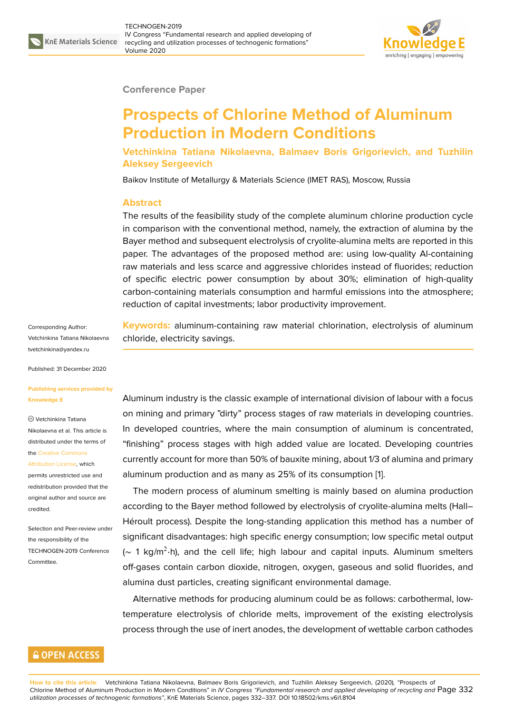

#### **Conference Paper**

# **Prospects of Chlorine Method of Aluminum Production in Modern Conditions**

**Vetchinkina Tatiana Nikolaevna, Balmaev Boris Grigorievich, and Tuzhilin Aleksey Sergeevich**

Baikov Institute of Metallurgy & Materials Science (IMET RAS), Moscow, Russia

### **Abstract**

The results of the feasibility study of the complete aluminum chlorine production cycle in comparison with the conventional method, namely, the extraction of alumina by the Bayer method and subsequent electrolysis of cryolite-alumina melts are reported in this paper. The advantages of the proposed method are: using low-quality Al-containing raw materials and less scarce and aggressive chlorides instead of fluorides; reduction of specific electric power consumption by about 30%; elimination of high-quality carbon-containing materials consumption and harmful emissions into the atmosphere; reduction of capital investments; labor productivity improvement.

Corresponding Author: Vetchinkina Tatiana Nikolaevna tvetchinkina@yandex.ru

Published: 31 December 2020

#### **[Publishing services pro](mailto:tvetchinkina@yandex.ru)vided by Knowledge E**

### Vetchinkina Tatiana

Nikolaevna et al. This article is distributed under the terms of the Creative Commons

#### Attribution License, which

permits unrestricted use and redistribution provided that the orig[inal author and sou](https://creativecommons.org/licenses/by/4.0/)rce are [credited.](https://creativecommons.org/licenses/by/4.0/)

Selection and Peer-review under the responsibility of the TECHNOGEN-2019 Conference Committee.

**GOPEN ACCESS** 

**Keywords:** aluminum-containing raw material chlorination, electrolysis of aluminum chloride, electricity savings.

Aluminum industry is the classic example of international division of labour with a focus on mining and primary "dirty" process stages of raw materials in developing countries. In developed countries, where the main consumption of aluminum is concentrated, "finishing" process stages with high added value are located. Developing countries currently account for more than 50% of bauxite mining, about 1/3 of alumina and primary aluminum production and as many as 25% of its consumption [1].

The modern process of aluminum smelting is mainly based on alumina production according to the Bayer method followed by electrolysis of cryolite-alumina melts (Hall– Héroult process). Despite the long-standing application this m[e](#page-5-0)thod has a number of significant disadvantages: high specific energy consumption; low specific metal output (~ 1 kg/m<sup>2</sup>·h), and the cell life; high labour and capital inputs. Aluminum smelters off-gases contain carbon dioxide, nitrogen, oxygen, gaseous and solid fluorides, and alumina dust particles, creating significant environmental damage.

Alternative methods for producing aluminum could be as follows: carbothermal, lowtemperature electrolysis of chloride melts, improvement of the existing electrolysis process through the use of inert anodes, the development of wettable carbon cathodes

**How to cite this article**: Vetchinkina Tatiana Nikolaevna, Balmaev Boris Grigorievich, and Tuzhilin Aleksey Sergeevich, (2020), "Prospects of Chlorine Method of Aluminum Production in Modern Conditions" in *IV Congress "Fundamental research and applied developing of recycling and* Page 332 *utilization processes of technogenic formations"*, KnE Materials Science, pages 332–337. DOI 10.18502/kms.v6i1.8104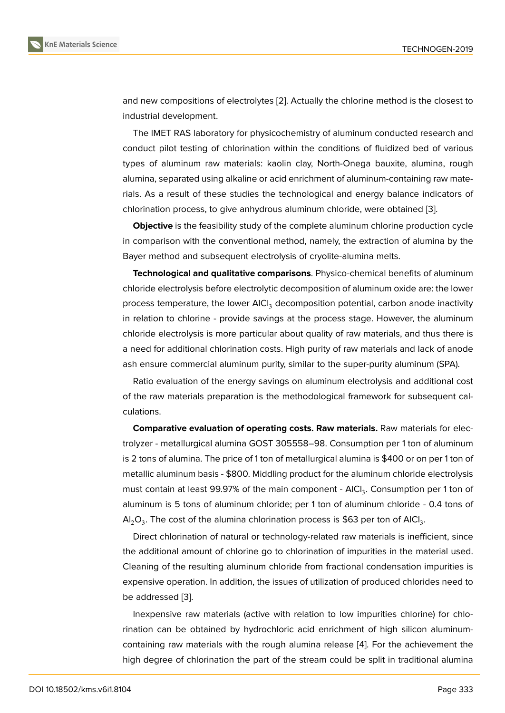and new compositions of electrolytes [2]. Actually the chlorine method is the closest to industrial development.

The IMET RAS laboratory for physicochemistry of aluminum conducted research and conduct pilot testing of chlorination [wit](#page-5-1)hin the conditions of fluidized bed of various types of aluminum raw materials: kaolin clay, North-Onega bauxite, alumina, rough alumina, separated using alkaline or acid enrichment of aluminum-containing raw materials. As a result of these studies the technological and energy balance indicators of chlorination process, to give anhydrous aluminum chloride, were obtained [3].

**Objective** is the feasibility study of the complete aluminum chlorine production cycle in comparison with the conventional method, namely, the extraction of alumina by the Bayer method and subsequent electrolysis of cryolite-alumina melts.

**Technological and qualitative comparisons**. Physico-chemical benefits of aluminum chloride electrolysis before electrolytic decomposition of aluminum oxide are: the lower process temperature, the lower AlCl<sub>3</sub> decomposition potential, carbon anode inactivity in relation to chlorine - provide savings at the process stage. However, the aluminum chloride electrolysis is more particular about quality of raw materials, and thus there is a need for additional chlorination costs. High purity of raw materials and lack of anode ash ensure commercial aluminum purity, similar to the super-purity aluminum (SPA).

Ratio evaluation of the energy savings on aluminum electrolysis and additional cost of the raw materials preparation is the methodological framework for subsequent calculations.

**Comparative evaluation of operating costs. Raw materials.** Raw materials for electrolyzer - metallurgical alumina GOST 305558–98. Consumption per 1 ton of aluminum is 2 tons of alumina. The price of 1 ton of metallurgical alumina is \$400 or on per 1 ton of metallic aluminum basis - \$800. Middling product for the aluminum chloride electrolysis must contain at least 99.97% of the main component - AICI<sub>3</sub>. Consumption per 1 ton of aluminum is 5 tons of aluminum chloride; per 1 ton of aluminum chloride - 0.4 tons of Al $_2$ O $_3$ . The cost of the alumina chlorination process is \$63 per ton of AlCl $_3$ .

Direct chlorination of natural or technology-related raw materials is inefficient, since the additional amount of chlorine go to chlorination of impurities in the material used. Cleaning of the resulting aluminum chloride from fractional condensation impurities is expensive operation. In addition, the issues of utilization of produced chlorides need to be addressed [3].

Inexpensive raw materials (active with relation to low impurities chlorine) for chlorination can be obtained by hydrochloric acid enrichment of high silicon aluminumcontaining raw [m](#page-5-2)aterials with the rough alumina release [4]. For the achievement the high degree of chlorination the part of the stream could be split in traditional alumina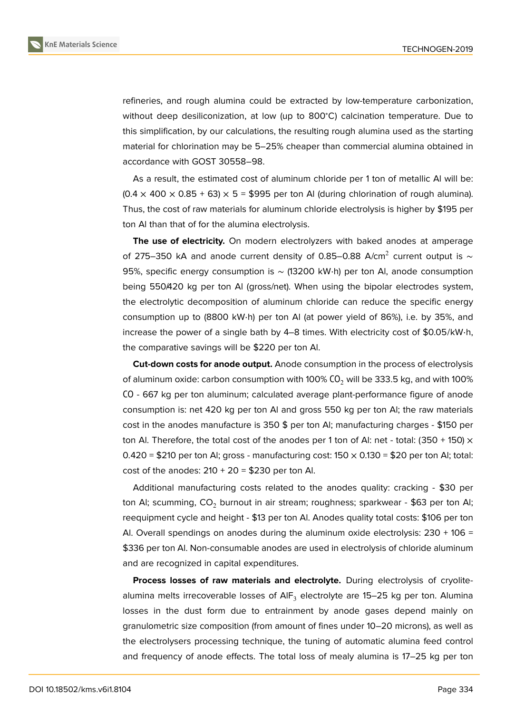refineries, and rough alumina could be extracted by low-temperature carbonization, without deep desiliconization, at low (up to 800<sup>∘</sup>C) calcination temperature. Due to this simplification, by our calculations, the resulting rough alumina used as the starting material for chlorination may be 5–25% cheaper than commercial alumina obtained in accordance with GOST 30558–98.

As a result, the estimated cost of aluminum chloride per 1 ton of metallic Al will be:  $(0.4 \times 400 \times 0.85 + 63) \times 5 = $995$  per ton Al (during chlorination of rough alumina). Thus, the cost of raw materials for aluminum chloride electrolysis is higher by \$195 per ton Al than that of for the alumina electrolysis.

**The use of electricity.** On modern electrolyzers with baked anodes at amperage of 275–350 kA and anode current density of 0.85–0.88 A/cm<sup>2</sup> current output is  $\sim$ 95%, specific energy consumption is ~ (13200 kW⋅h) per ton Al, anode consumption being 550/420 kg per ton AI (gross/net). When using the bipolar electrodes system, the electrolytic decomposition of aluminum chloride can reduce the specific energy consumption up to (8800 kW⋅h) per ton Al (at power yield of 86%), i.e. by 35%, and increase the power of a single bath by 4–8 times. With electricity cost of \$0.05/kW⋅h, the comparative savings will be \$220 per ton Al.

**Cut-down costs for anode output.** Anode consumption in the process of electrolysis of aluminum oxide: carbon consumption with 100%  $CO<sub>2</sub>$  will be 333.5 kg, and with 100% СО - 667 kg per ton aluminum; calculated average plant-performance figure of anode consumption is: net 420 kg per ton Al and gross 550 kg per ton Al; the raw materials cost in the anodes manufacture is 350 \$ per ton Al; manufacturing charges - \$150 per ton Al. Therefore, the total cost of the anodes per 1 ton of Al: net - total: (350 + 150)  $\times$  $0.420 = $210$  per ton Al; gross - manufacturing cost:  $150 \times 0.130 = $20$  per ton Al; total: cost of the anodes:  $210 + 20 = $230$  per ton Al.

Additional manufacturing costs related to the anodes quality: cracking - \$30 per ton Al; scumming,  $CO<sub>2</sub>$  burnout in air stream; roughness; sparkwear - \$63 per ton Al; reequipment cycle and height - \$13 per ton Al. Anodes quality total costs: \$106 per ton Al. Overall spendings on anodes during the aluminum oxide electrolysis:  $230 + 106 =$ \$336 per ton Al. Non-consumable anodes are used in electrolysis of chloride aluminum and are recognized in capital expenditures.

**Process losses of raw materials and electrolyte.** During electrolysis of cryolitealumina melts irrecoverable losses of  $AIF_3$  electrolyte are 15–25 kg per ton. Alumina losses in the dust form due to entrainment by anode gases depend mainly on granulometric size composition (from amount of fines under 10–20 microns), as well as the electrolysers processing technique, the tuning of automatic alumina feed control and frequency of anode effects. The total loss of mealy alumina is 17–25 kg per ton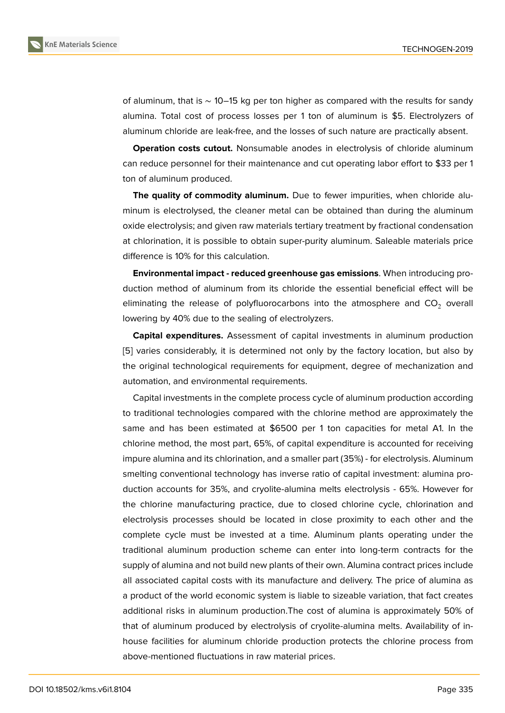of aluminum, that is ∼ 10–15 kg per ton higher as compared with the results for sandy alumina. Total cost of process losses per 1 ton of aluminum is \$5. Electrolyzers of aluminum chloride are leak-free, and the losses of such nature are practically absent.

**Operation costs cutout.** Nonsumable anodes in electrolysis of chloride aluminum can reduce personnel for their maintenance and cut operating labor effort to \$33 per 1 ton of aluminum produced.

**The quality of commodity aluminum.** Due to fewer impurities, when chloride aluminum is electrolysed, the cleaner metal can be obtained than during the aluminum oxide electrolysis; and given raw materials tertiary treatment by fractional condensation at chlorination, it is possible to obtain super-purity aluminum. Saleable materials price difference is 10% for this calculation.

**Environmental impact - reduced greenhouse gas emissions**. When introducing production method of aluminum from its chloride the essential beneficial effect will be eliminating the release of polyfluorocarbons into the atmosphere and  $CO<sub>2</sub>$  overall lowering by 40% due to the sealing of electrolyzers.

**Capital expenditures.** Assessment of capital investments in aluminum production [5] varies considerably, it is determined not only by the factory location, but also by the original technological requirements for equipment, degree of mechanization and automation, and environmental requirements.

Capital investments in the complete process cycle of aluminum production according to traditional technologies compared with the chlorine method are approximately the same and has been estimated at \$6500 per 1 ton capacities for metal A1. In the chlorine method, the most part, 65%, of capital expenditure is accounted for receiving impure alumina and its chlorination, and a smaller part (35%) - for electrolysis. Aluminum smelting conventional technology has inverse ratio of capital investment: alumina production accounts for 35%, and cryolite-alumina melts electrolysis - 65%. However for the chlorine manufacturing practice, due to closed chlorine cycle, chlorination and electrolysis processes should be located in close proximity to each other and the complete cycle must be invested at a time. Aluminum plants operating under the traditional aluminum production scheme can enter into long-term contracts for the supply of alumina and not build new plants of their own. Alumina contract prices include all associated capital costs with its manufacture and delivery. The price of alumina as a product of the world economic system is liable to sizeable variation, that fact creates additional risks in aluminum production.The cost of alumina is approximately 50% of that of aluminum produced by electrolysis of cryolite-alumina melts. Availability of inhouse facilities for aluminum chloride production protects the chlorine process from above-mentioned fluctuations in raw material prices.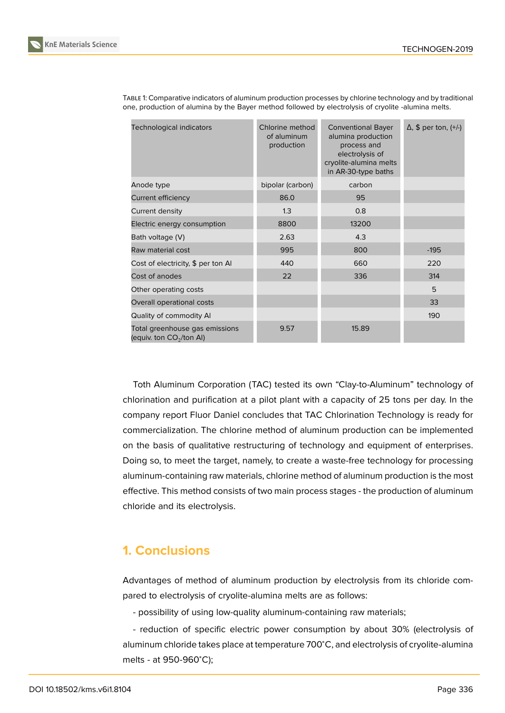

| KnE Materials Science |  |
|-----------------------|--|

| <b>Technological indicators</b>                             | Chlorine method<br>of aluminum<br>production | <b>Conventional Bayer</b><br>alumina production<br>process and<br>electrolysis of<br>cryolite-alumina melts<br>in AR-30-type baths | $\Delta$ , \$ per ton, $(+/-)$ |
|-------------------------------------------------------------|----------------------------------------------|------------------------------------------------------------------------------------------------------------------------------------|--------------------------------|
| Anode type                                                  | bipolar (carbon)                             | carbon                                                                                                                             |                                |
| Current efficiency                                          | 86.0                                         | 95                                                                                                                                 |                                |
| Current density                                             | 1.3                                          | 0.8                                                                                                                                |                                |
| Electric energy consumption                                 | 8800                                         | 13200                                                                                                                              |                                |
| Bath voltage (V)                                            | 2.63                                         | 4.3                                                                                                                                |                                |
| Raw material cost                                           | 995                                          | 800                                                                                                                                | $-195$                         |
| Cost of electricity, \$ per ton Al                          | 440                                          | 660                                                                                                                                | 220                            |
| Cost of anodes                                              | 22                                           | 336                                                                                                                                | 314                            |
| Other operating costs                                       |                                              |                                                                                                                                    | 5                              |
| Overall operational costs                                   |                                              |                                                                                                                                    | 33                             |
| Quality of commodity Al                                     |                                              |                                                                                                                                    | 190                            |
| Total greenhouse gas emissions<br>(equiv. ton $CO2/ton$ Al) | 9.57                                         | 15.89                                                                                                                              |                                |

TABLE 1: Comparative indicators of aluminum production processes by chlorine technology and by traditional one, production of alumina by the Bayer method followed by electrolysis of cryolite -alumina melts.

Toth Aluminum Corporation (TAC) tested its own "Clay-to-Aluminum" technology of chlorination and purification at a pilot plant with a capacity of 25 tons per day. In the company report Fluor Daniel concludes that TAC Chlorination Technology is ready for commercialization. The chlorine method of aluminum production can be implemented on the basis of qualitative restructuring of technology and equipment of enterprises. Doing so, to meet the target, namely, to create a waste-free technology for processing aluminum-containing raw materials, chlorine method of aluminum production is the most effective. This method consists of two main process stages - the production of aluminum chloride and its electrolysis.

## **1. Conclusions**

Advantages of method of aluminum production by electrolysis from its chloride compared to electrolysis of cryolite-alumina melts are as follows:

- possibility of using low-quality aluminum-containing raw materials;

- reduction of specific electric power consumption by about 30% (electrolysis of aluminum chloride takes place at temperature 700<sup>∘</sup>C, and electrolysis of cryolite-alumina melts - at 950-960<sup>∘</sup>C);